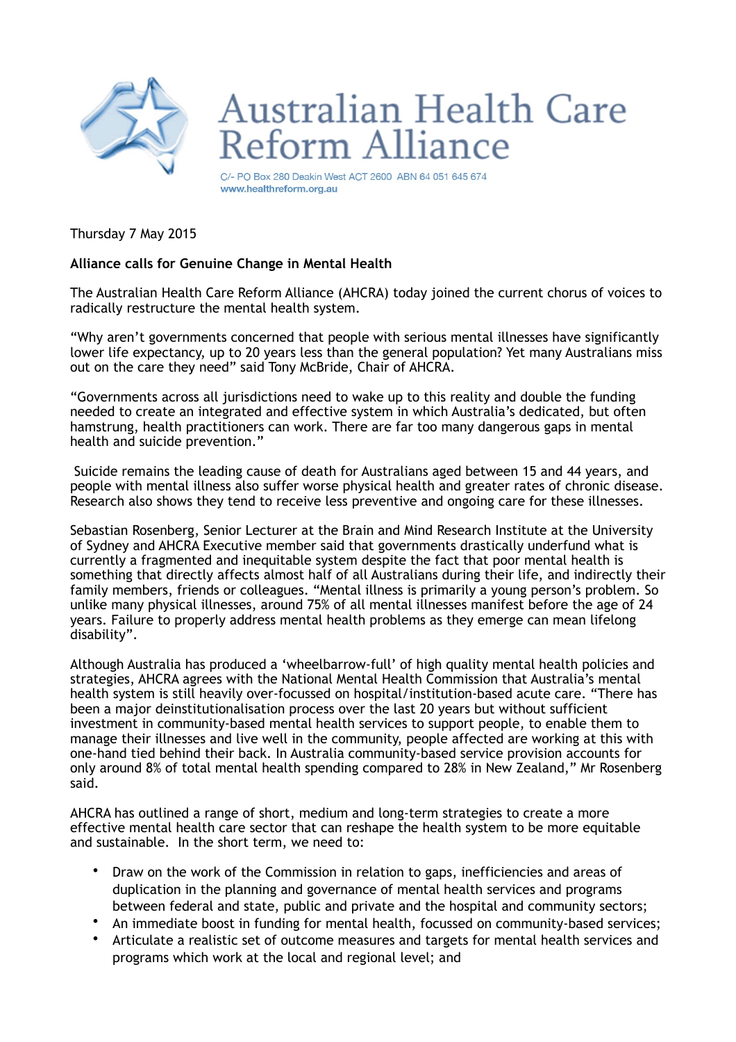

## **Australian Health Care** eform Alliance

C/- PO Box 280 Deakin West ACT 2600 ABN 64 051 645 674 www.healthreform.org.au

Thursday 7 May 2015

## **Alliance calls for Genuine Change in Mental Health**

The Australian Health Care Reform Alliance (AHCRA) today joined the current chorus of voices to radically restructure the mental health system.

"Why aren't governments concerned that people with serious mental illnesses have significantly lower life expectancy, up to 20 years less than the general population? Yet many Australians miss out on the care they need" said Tony McBride, Chair of AHCRA.

"Governments across all jurisdictions need to wake up to this reality and double the funding needed to create an integrated and effective system in which Australia's dedicated, but often hamstrung, health practitioners can work. There are far too many dangerous gaps in mental health and suicide prevention."

 Suicide remains the leading cause of death for Australians aged between 15 and 44 years, and people with mental illness also suffer worse physical health and greater rates of chronic disease. Research also shows they tend to receive less preventive and ongoing care for these illnesses.

Sebastian Rosenberg, Senior Lecturer at the Brain and Mind Research Institute at the University of Sydney and AHCRA Executive member said that governments drastically underfund what is currently a fragmented and inequitable system despite the fact that poor mental health is something that directly affects almost half of all Australians during their life, and indirectly their family members, friends or colleagues. "Mental illness is primarily a young person's problem. So unlike many physical illnesses, around 75% of all mental illnesses manifest before the age of 24 years. Failure to properly address mental health problems as they emerge can mean lifelong disability".

Although Australia has produced a 'wheelbarrow-full' of high quality mental health policies and strategies, AHCRA agrees with the National Mental Health Commission that Australia's mental health system is still heavily over-focussed on hospital/institution-based acute care. "There has been a major deinstitutionalisation process over the last 20 years but without sufficient investment in community-based mental health services to support people, to enable them to manage their illnesses and live well in the community, people affected are working at this with one-hand tied behind their back. In Australia community-based service provision accounts for only around 8% of total mental health spending compared to 28% in New Zealand," Mr Rosenberg said.

AHCRA has outlined a range of short, medium and long-term strategies to create a more effective mental health care sector that can reshape the health system to be more equitable and sustainable. In the short term, we need to:

- Draw on the work of the Commission in relation to gaps, inefficiencies and areas of duplication in the planning and governance of mental health services and programs between federal and state, public and private and the hospital and community sectors;
- An immediate boost in funding for mental health, focussed on community-based services;
- Articulate a realistic set of outcome measures and targets for mental health services and programs which work at the local and regional level; and